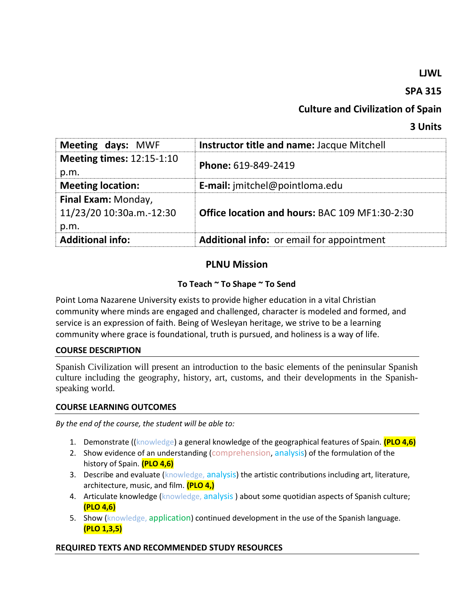## **LJWL**

## **SPA 315**

# **Culture and Civilization of Spain**

## **3 Units**

| Meeting days: MWF                                       | Instructor title and name: Jacque Mitchell            |
|---------------------------------------------------------|-------------------------------------------------------|
| <b>Meeting times: 12:15-1:10</b><br>p.m.                | Phone: 619-849-2419                                   |
| <b>Meeting location:</b>                                | <b>E-mail:</b> jmitchel@pointloma.edu                 |
| Final Exam: Monday,<br>11/23/20 10:30a.m.-12:30<br>p.m. | <b>Office location and hours: BAC 109 MF1:30-2:30</b> |
| <b>Additional info:</b>                                 | Additional info: or email for appointment             |

## **PLNU Mission**

## **To Teach ~ To Shape ~ To Send**

Point Loma Nazarene University exists to provide higher education in a vital Christian community where minds are engaged and challenged, character is modeled and formed, and service is an expression of faith. Being of Wesleyan heritage, we strive to be a learning community where grace is foundational, truth is pursued, and holiness is a way of life.

### **COURSE DESCRIPTION**

Spanish Civilization will present an introduction to the basic elements of the peninsular Spanish culture including the geography, history, art, customs, and their developments in the Spanishspeaking world.

### **COURSE LEARNING OUTCOMES**

*By the end of the course, the student will be able to:*

- 1. Demonstrate ((knowledge) a general knowledge of the geographical features of Spain. **(PLO 4,6)**
- 2. Show evidence of an understanding (comprehension, analysis) of the formulation of the history of Spain. **(PLO 4,6)**
- 3. Describe and evaluate (knowledge, analysis) the artistic contributions including art, literature, architecture, music, and film. **(PLO 4,)**
- 4. Articulate knowledge (knowledge, analysis) about some quotidian aspects of Spanish culture; **(PLO 4,6)**
- 5. Show (knowledge, application) continued development in the use of the Spanish language. **(PLO 1,3,5)**

### **REQUIRED TEXTS AND RECOMMENDED STUDY RESOURCES**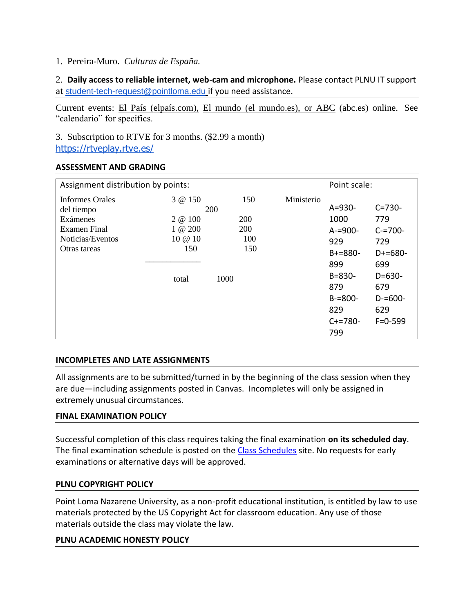## 1. Pereira-Muro. *Culturas de España.*

2. **Daily access to reliable internet, web-cam and microphone.** Please contact PLNU IT support at [student-tech-request@pointloma.edu](mailto:student-tech-request@pointloma.edu) if you need assistance.

Current events: El País (elpaís.com), El mundo (el mundo.es), or ABC (abc.es) online. See "calendario" for specifics.

3. Subscription to RTVE for 3 months. (\$2.99 a month) <https://rtveplay.rtve.es/>

### **ASSESSMENT AND GRADING**

| Assignment distribution by points:                                                            |                                                                    |                                                       |            | Point scale:                                                                                                  |                                                                                                         |
|-----------------------------------------------------------------------------------------------|--------------------------------------------------------------------|-------------------------------------------------------|------------|---------------------------------------------------------------------------------------------------------------|---------------------------------------------------------------------------------------------------------|
| Informes Orales<br>del tiempo<br>Exámenes<br>Examen Final<br>Noticias/Eventos<br>Otras tareas | 3 @ 150<br>200<br>2 @ 100<br>$1 \& 200$<br>10 @ 10<br>150<br>total | 150<br><b>200</b><br><b>200</b><br>100<br>150<br>1000 | Ministerio | $A = 930 -$<br>1000<br>$A = 900 -$<br>929<br>$B + = 880 -$<br>899<br>$B = 830 -$<br>879<br>$B = 800 -$<br>829 | $C = 730 -$<br>779<br>$C = 700 -$<br>729<br>$D+ = 680-$<br>699<br>$D=630-$<br>679<br>$D = 600 -$<br>629 |
|                                                                                               |                                                                    |                                                       |            | $C+=780-$<br>799                                                                                              | $F = 0 - 599$                                                                                           |

## **INCOMPLETES AND LATE ASSIGNMENTS**

All assignments are to be submitted/turned in by the beginning of the class session when they are due—including assignments posted in Canvas. Incompletes will only be assigned in extremely unusual circumstances.

### **FINAL EXAMINATION POLICY**

Successful completion of this class requires taking the final examination **on its scheduled day**. The final examination schedule is posted on the [Class Schedules](http://www.pointloma.edu/experience/academics/class-schedules) site. No requests for early examinations or alternative days will be approved.

### **PLNU COPYRIGHT POLICY**

Point Loma Nazarene University, as a non-profit educational institution, is entitled by law to use materials protected by the US Copyright Act for classroom education. Any use of those materials outside the class may violate the law.

### **PLNU ACADEMIC HONESTY POLICY**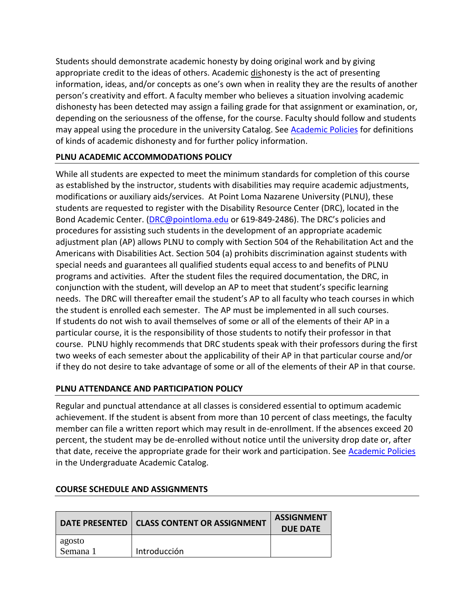Students should demonstrate academic honesty by doing original work and by giving appropriate credit to the ideas of others. Academic dishonesty is the act of presenting information, ideas, and/or concepts as one's own when in reality they are the results of another person's creativity and effort. A faculty member who believes a situation involving academic dishonesty has been detected may assign a failing grade for that assignment or examination, or, depending on the seriousness of the offense, for the course. Faculty should follow and students may appeal using the procedure in the university Catalog. See [Academic Policies](http://catalog.pointloma.edu/content.php?catoid=18&navoid=1278) for definitions of kinds of academic dishonesty and for further policy information.

## **PLNU ACADEMIC ACCOMMODATIONS POLICY**

While all students are expected to meet the minimum standards for completion of this course as established by the instructor, students with disabilities may require academic adjustments, modifications or auxiliary aids/services. At Point Loma Nazarene University (PLNU), these students are requested to register with the Disability Resource Center (DRC), located in the Bond Academic Center. [\(DRC@pointloma.edu](mailto:DRC@pointloma.edu) or 619-849-2486). The DRC's policies and procedures for assisting such students in the development of an appropriate academic adjustment plan (AP) allows PLNU to comply with Section 504 of the Rehabilitation Act and the Americans with Disabilities Act. Section 504 (a) prohibits discrimination against students with special needs and guarantees all qualified students equal access to and benefits of PLNU programs and activities. After the student files the required documentation, the DRC, in conjunction with the student, will develop an AP to meet that student's specific learning needs. The DRC will thereafter email the student's AP to all faculty who teach courses in which the student is enrolled each semester. The AP must be implemented in all such courses. If students do not wish to avail themselves of some or all of the elements of their AP in a particular course, it is the responsibility of those students to notify their professor in that course. PLNU highly recommends that DRC students speak with their professors during the first two weeks of each semester about the applicability of their AP in that particular course and/or if they do not desire to take advantage of some or all of the elements of their AP in that course.

## **PLNU ATTENDANCE AND PARTICIPATION POLICY**

Regular and punctual attendance at all classes is considered essential to optimum academic achievement. If the student is absent from more than 10 percent of class meetings, the faculty member can file a written report which may result in de-enrollment. If the absences exceed 20 percent, the student may be de-enrolled without notice until the university drop date or, after that date, receive the appropriate grade for their work and participation. See [Academic Policies](http://catalog.pointloma.edu/content.php?catoid=18&navoid=1278) in the Undergraduate Academic Catalog.

|                    | DATE PRESENTED   CLASS CONTENT OR ASSIGNMENT | <b>ASSIGNMENT</b><br><b>DUE DATE</b> |
|--------------------|----------------------------------------------|--------------------------------------|
| agosto<br>Semana 1 | Introducción                                 |                                      |

### **COURSE SCHEDULE AND ASSIGNMENTS**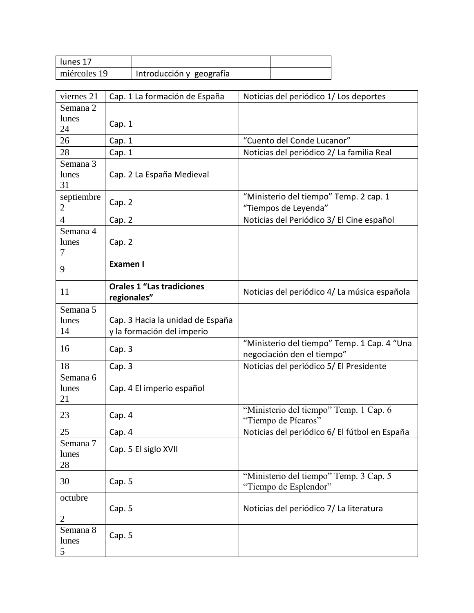| lunes 17     |                          |  |
|--------------|--------------------------|--|
| miércoles 19 | Introducción y geografía |  |

| viernes 21     | Cap. 1 La formación de España    | Noticias del periódico 1/Los deportes                         |
|----------------|----------------------------------|---------------------------------------------------------------|
| Semana 2       |                                  |                                                               |
| lunes          | Cap. 1                           |                                                               |
| 24             |                                  |                                                               |
| 26             | Cap. 1                           | "Cuento del Conde Lucanor"                                    |
| 28             | Cap. 1                           | Noticias del periódico 2/La familia Real                      |
| Semana 3       |                                  |                                                               |
| lunes          | Cap. 2 La España Medieval        |                                                               |
| 31             |                                  |                                                               |
| septiembre     | Cap. 2                           | "Ministerio del tiempo" Temp. 2 cap. 1                        |
| 2              |                                  | "Tiempos de Leyenda"                                          |
| $\overline{4}$ | Cap. 2                           | Noticias del Periódico 3/ El Cine español                     |
| Semana 4       |                                  |                                                               |
| lunes          | Cap. 2                           |                                                               |
| 7              |                                  |                                                               |
| 9              | Examen I                         |                                                               |
|                |                                  |                                                               |
| 11             | <b>Orales 1 "Las tradiciones</b> | Noticias del periódico 4/La música española                   |
|                | regionales"                      |                                                               |
| Semana 5       |                                  |                                                               |
| lunes          | Cap. 3 Hacia la unidad de España |                                                               |
| 14             | y la formación del imperio       |                                                               |
| 16             | Cap. 3                           | "Ministerio del tiempo" Temp. 1 Cap. 4 "Una                   |
|                |                                  | negociación den el tiempo"                                    |
| 18             | Cap. 3                           | Noticias del periódico 5/ El Presidente                       |
| Semana 6       |                                  |                                                               |
| lunes          | Cap. 4 El imperio español        |                                                               |
| 21             |                                  |                                                               |
| 23             | Cap. 4                           | "Ministerio del tiempo" Temp. 1 Cap. 6<br>"Tiempo de Pícaros" |
| 25             | Cap. 4                           | Noticias del periódico 6/ El fútbol en España                 |
| Semana 7       |                                  |                                                               |
| lunes          | Cap. 5 El siglo XVII             |                                                               |
| 28             |                                  |                                                               |
|                |                                  | "Ministerio del tiempo" Temp. 3 Cap. 5                        |
| 30             | Cap. 5                           | "Tiempo de Esplendor"                                         |
| octubre        |                                  |                                                               |
|                | Cap. 5                           | Noticias del periódico 7/La literatura                        |
| 2              |                                  |                                                               |
| Semana 8       | Cap. 5                           |                                                               |
| lunes          |                                  |                                                               |
| 5              |                                  |                                                               |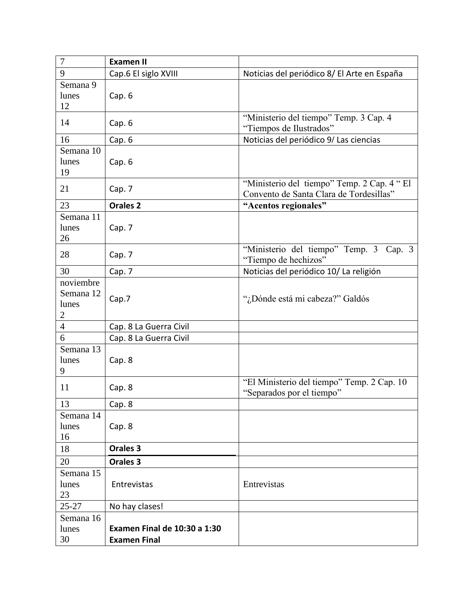| 7                                               | <b>Examen II</b>                                           |                                                                                        |
|-------------------------------------------------|------------------------------------------------------------|----------------------------------------------------------------------------------------|
| 9                                               | Cap.6 El siglo XVIII                                       | Noticias del periódico 8/ El Arte en España                                            |
| Semana 9<br>lunes<br>12                         | Cap. 6                                                     |                                                                                        |
| 14                                              | Cap. 6                                                     | "Ministerio del tiempo" Temp. 3 Cap. 4<br>"Tiempos de Ilustrados"                      |
| 16                                              | Cap. 6                                                     | Noticias del periódico 9/ Las ciencias                                                 |
| Semana 10<br>lunes<br>19                        | Cap. 6                                                     |                                                                                        |
| 21                                              | Cap. 7                                                     | "Ministerio del tiempo" Temp. 2 Cap. 4 " El<br>Convento de Santa Clara de Tordesillas" |
| 23                                              | <b>Orales 2</b>                                            | "Acentos regionales"                                                                   |
| Semana 11<br>lunes<br>26                        | Cap. 7                                                     |                                                                                        |
| 28                                              | Cap. 7                                                     | "Ministerio del tiempo" Temp. 3 Cap. 3<br>"Tiempo de hechizos"                         |
| 30                                              | Cap. 7                                                     | Noticias del periódico 10/ La religión                                                 |
| noviembre<br>Semana 12<br>lunes<br>$\mathbf{2}$ | Cap.7                                                      | "¿Dónde está mi cabeza?" Galdós                                                        |
| $\overline{4}$                                  | Cap. 8 La Guerra Civil                                     |                                                                                        |
| 6                                               | Cap. 8 La Guerra Civil                                     |                                                                                        |
| Semana 13<br>lunes<br>9                         | Cap. 8                                                     |                                                                                        |
| 11                                              | Cap. 8                                                     | "El Ministerio del tiempo" Temp. 2 Cap. 10<br>"Separados por el tiempo"                |
| 13                                              | Cap. 8                                                     |                                                                                        |
| Semana 14<br>lunes<br>16                        | Cap. 8                                                     |                                                                                        |
| 18                                              | <b>Orales 3</b>                                            |                                                                                        |
| 20                                              | Orales <sub>3</sub>                                        |                                                                                        |
| Semana 15<br>lunes<br>23                        | Entrevistas                                                | Entrevistas                                                                            |
| $25 - 27$                                       | No hay clases!                                             |                                                                                        |
| Semana 16<br>lunes<br>30                        | <b>Examen Final de 10:30 a 1:30</b><br><b>Examen Final</b> |                                                                                        |